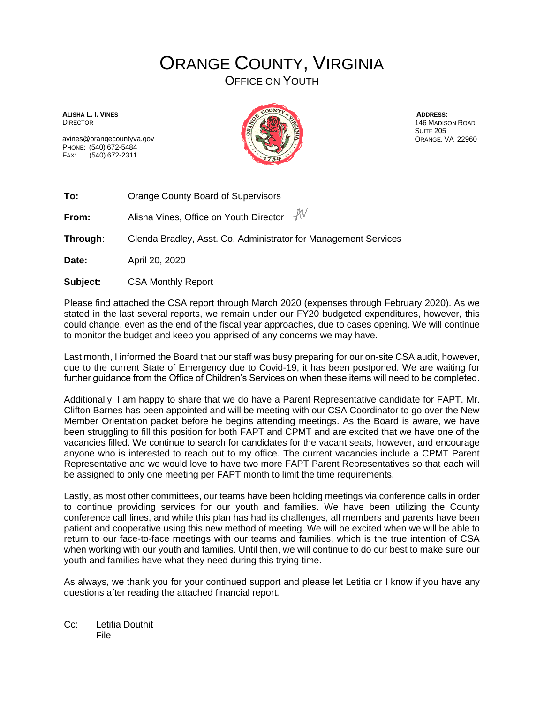## ORANGE COUNTY, VIRGINIA

OFFICE ON YOUTH

**ALISHA L. I. VINES** DIRECTOR

avines@orangecountyva.gov PHONE: (540) 672-5484 FAX: (540) 672-2311



**ADDRESS:** 146 MADISON ROAD SUITE 205 ORANGE, VA 22960

**To:** Orange County Board of Supervisors

 $AV$ **From:** Alisha Vines, Office on Youth Director

**Through**: Glenda Bradley, Asst. Co. Administrator for Management Services

**Date:** April 20, 2020

**Subject:** CSA Monthly Report

Please find attached the CSA report through March 2020 (expenses through February 2020). As we stated in the last several reports, we remain under our FY20 budgeted expenditures, however, this could change, even as the end of the fiscal year approaches, due to cases opening. We will continue to monitor the budget and keep you apprised of any concerns we may have.

Last month, I informed the Board that our staff was busy preparing for our on-site CSA audit, however, due to the current State of Emergency due to Covid-19, it has been postponed. We are waiting for further guidance from the Office of Children's Services on when these items will need to be completed.

Additionally, I am happy to share that we do have a Parent Representative candidate for FAPT. Mr. Clifton Barnes has been appointed and will be meeting with our CSA Coordinator to go over the New Member Orientation packet before he begins attending meetings. As the Board is aware, we have been struggling to fill this position for both FAPT and CPMT and are excited that we have one of the vacancies filled. We continue to search for candidates for the vacant seats, however, and encourage anyone who is interested to reach out to my office. The current vacancies include a CPMT Parent Representative and we would love to have two more FAPT Parent Representatives so that each will be assigned to only one meeting per FAPT month to limit the time requirements.

Lastly, as most other committees, our teams have been holding meetings via conference calls in order to continue providing services for our youth and families. We have been utilizing the County conference call lines, and while this plan has had its challenges, all members and parents have been patient and cooperative using this new method of meeting. We will be excited when we will be able to return to our face-to-face meetings with our teams and families, which is the true intention of CSA when working with our youth and families. Until then, we will continue to do our best to make sure our youth and families have what they need during this trying time.

As always, we thank you for your continued support and please let Letitia or I know if you have any questions after reading the attached financial report.

Cc: Letitia Douthit File